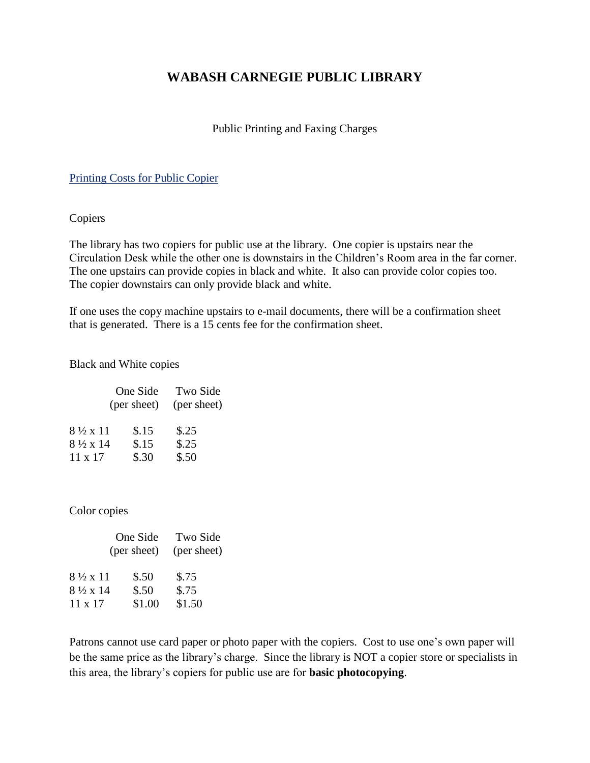# **WABASH CARNEGIE PUBLIC LIBRARY**

## Public Printing and Faxing Charges

#### Printing Costs for Public Copier

#### Copiers

The library has two copiers for public use at the library. One copier is upstairs near the Circulation Desk while the other one is downstairs in the Children's Room area in the far corner. The one upstairs can provide copies in black and white. It also can provide color copies too. The copier downstairs can only provide black and white.

If one uses the copy machine upstairs to e-mail documents, there will be a confirmation sheet that is generated. There is a 15 cents fee for the confirmation sheet.

#### Black and White copies

| One Side                 |             | Two Side    |
|--------------------------|-------------|-------------|
|                          | (per sheet) | (per sheet) |
| $8\frac{1}{2} \times 11$ | \$.15       | \$.25       |
| $8\frac{1}{2} \times 14$ | \$.15       | \$.25       |
| $11 \times 17$           | \$.30       | \$.50       |

#### Color copies

|                          | One Side    | Two Side<br>(per sheet) |
|--------------------------|-------------|-------------------------|
|                          | (per sheet) |                         |
| 8½ x 11                  | \$.50       | \$.75                   |
| $8\frac{1}{2} \times 14$ | \$.50       | \$.75                   |
| $11 \times 17$           | \$1.00      | \$1.50                  |

Patrons cannot use card paper or photo paper with the copiers. Cost to use one's own paper will be the same price as the library's charge. Since the library is NOT a copier store or specialists in this area, the library's copiers for public use are for **basic photocopying**.